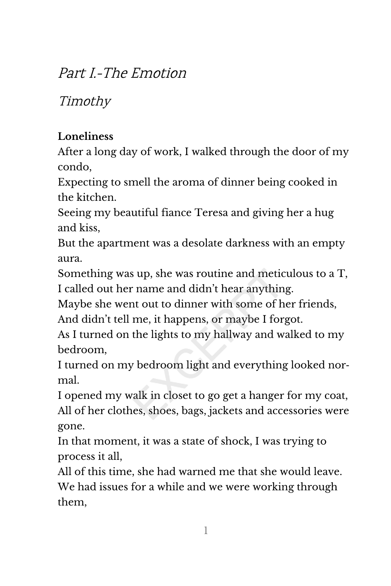## Part I.-The Emotion

Timothy

## **Loneliness**

After a long day of work, I walked through the door of my condo,

Expecting to smell the aroma of dinner being cooked in the kitchen.

Seeing my beautiful fiance Teresa and giving her a hug and kiss,

But the apartment was a desolate darkness with an empty aura.

Something was up, she was routine and meticulous to a T, I called out her name and didn't hear anything.

Maybe she went out to dinner with some of her friends, And didn't tell me, it happens, or maybe I forgot.

As I turned on the lights to my hallway and walked to my bedroom,

I turned on my bedroom light and everything looked nor‐ mal.

I opened my walk in closet to go get a hanger for my coat, All of her clothes, shoes, bags, jackets and accessories were gone.

In that moment, it was a state of shock, I was trying to process it all,

All of this time, she had warned me that she would leave. We had issues for a while and we were working through them,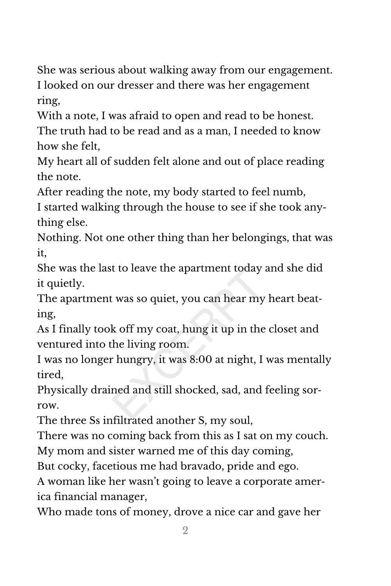She was serious about walking away from our engagement. I looked on our dresser and there was her engagement ring,

With a note, I was afraid to open and read to be honest. The truth had to be read and as a man, I needed to know how she felt,

My heart all of sudden felt alone and out of place reading the note.

After reading the note, my body started to feel numb,

I started walking through the house to see if she took any‐ thing else.

Nothing. Not one other thing than her belongings, that was it,

She was the last to leave the apartment today and she did it quietly.

The apartment was so quiet, you can hear my heart beat‐ ing,

As I finally took off my coat, hung it up in the closet and ventured into the living room.

I was no longer hungry, it was 8:00 at night, I was mentally tired,

Physically drained and still shocked, sad, and feeling sor‐ row.

The three Ss infiltrated another S, my soul,

There was no coming back from this as I sat on my couch. My mom and sister warned me of this day coming,

But cocky, facetious me had bravado, pride and ego.

A woman like her wasn't going to leave a corporate amer‐ ica financial manager,

Who made tons of money, drove a nice car and gave her